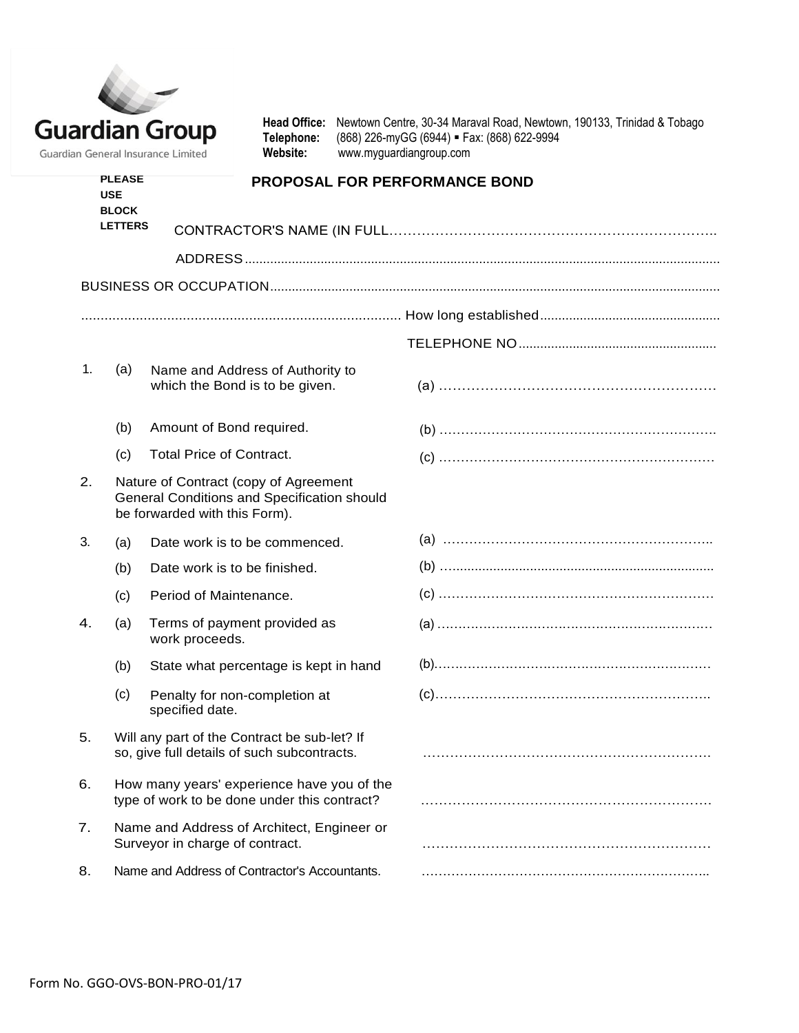| <b>Guardian Group</b>              |
|------------------------------------|
| Guardian General Insurance Limited |

Head Office: Newtown Centre, 30-34 Maraval Road, Newtown, 190133, Trinidad & Tobago Telephone: (868) 226-myGG (6944) = Fax: (868) 622-9994 **Telephone:** (868) 226-myGG (6944) **Fax: (868) 622-9994**<br>**Website:** www.myguardiangroup.com **Website:** [www.myguardiangroup.com](http://www.myguardiangroup.com/)

| <b>PLEASE</b><br><b>USE</b><br><b>BLOCK</b><br><b>LETTERS</b> |     | <b>PROPOSAL FOR PERFORMANCE BOND</b>                                                                                  |  |  |  |  |
|---------------------------------------------------------------|-----|-----------------------------------------------------------------------------------------------------------------------|--|--|--|--|
|                                                               |     |                                                                                                                       |  |  |  |  |
|                                                               |     |                                                                                                                       |  |  |  |  |
|                                                               |     |                                                                                                                       |  |  |  |  |
|                                                               |     |                                                                                                                       |  |  |  |  |
|                                                               |     |                                                                                                                       |  |  |  |  |
| 1.                                                            | (a) | Name and Address of Authority to<br>which the Bond is to be given.                                                    |  |  |  |  |
|                                                               | (b) | Amount of Bond required.                                                                                              |  |  |  |  |
|                                                               | (c) | <b>Total Price of Contract.</b>                                                                                       |  |  |  |  |
| $\overline{2}$ .                                              |     | Nature of Contract (copy of Agreement<br>General Conditions and Specification should<br>be forwarded with this Form). |  |  |  |  |
| 3.                                                            | (a) | Date work is to be commenced.                                                                                         |  |  |  |  |
|                                                               | (b) | Date work is to be finished.                                                                                          |  |  |  |  |
|                                                               | (c) | Period of Maintenance.                                                                                                |  |  |  |  |
| 4.                                                            | (a) | Terms of payment provided as<br>work proceeds.                                                                        |  |  |  |  |
|                                                               | (b) | State what percentage is kept in hand                                                                                 |  |  |  |  |
|                                                               | (c) | Penalty for non-completion at<br>specified date.                                                                      |  |  |  |  |
| 5.                                                            |     | Will any part of the Contract be sub-let? If<br>so, give full details of such subcontracts.                           |  |  |  |  |
| 6.                                                            |     | How many years' experience have you of the<br>type of work to be done under this contract?                            |  |  |  |  |
| 7.                                                            |     | Name and Address of Architect, Engineer or<br>Surveyor in charge of contract.                                         |  |  |  |  |

- 
- 
- 
- 5. Will any part of the Contract be sub-let? If
- 6. How many years' experience have you of the
- 7. Name and Address of Architect, Engineer or
- 8. Name and Address of Contractor's Accountants. …………………………………………………………..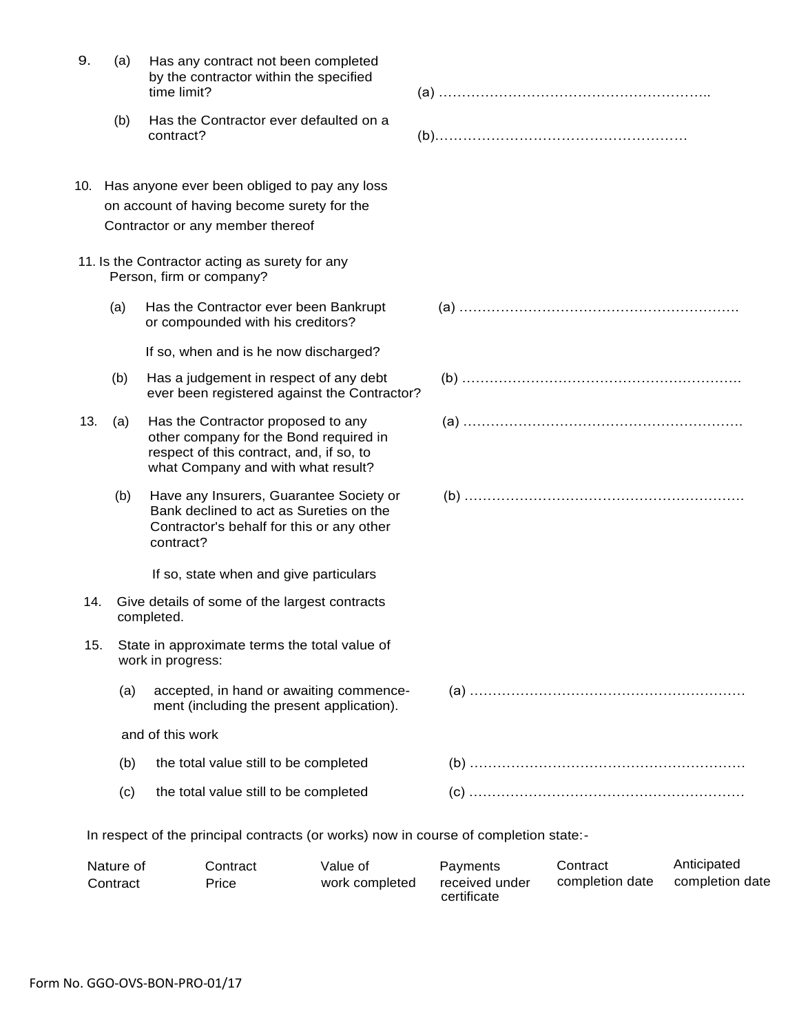|     |     | by the contractor within the specified<br>time limit?                                                                                                          |  |
|-----|-----|----------------------------------------------------------------------------------------------------------------------------------------------------------------|--|
|     | (b) | Has the Contractor ever defaulted on a<br>contract?                                                                                                            |  |
|     |     | 10. Has anyone ever been obliged to pay any loss                                                                                                               |  |
|     |     | on account of having become surety for the                                                                                                                     |  |
|     |     | Contractor or any member thereof                                                                                                                               |  |
|     |     | 11. Is the Contractor acting as surety for any<br>Person, firm or company?                                                                                     |  |
|     | (a) | Has the Contractor ever been Bankrupt<br>or compounded with his creditors?                                                                                     |  |
|     |     | If so, when and is he now discharged?                                                                                                                          |  |
|     | (b) | Has a judgement in respect of any debt<br>ever been registered against the Contractor?                                                                         |  |
| 13. | (a) | Has the Contractor proposed to any<br>other company for the Bond required in<br>respect of this contract, and, if so, to<br>what Company and with what result? |  |
|     | (b) | Have any Insurers, Guarantee Society or<br>Bank declined to act as Sureties on the<br>Contractor's behalf for this or any other<br>contract?                   |  |
|     |     | If so, state when and give particulars                                                                                                                         |  |
| 14. |     | Give details of some of the largest contracts<br>completed.                                                                                                    |  |
| 15. |     | State in approximate terms the total value of<br>work in progress:                                                                                             |  |
|     | (a) | accepted, in hand or awaiting commence-<br>ment (including the present application).                                                                           |  |
|     |     | and of this work                                                                                                                                               |  |
|     | (b) | the total value still to be completed                                                                                                                          |  |
|     | (c) | the total value still to be completed                                                                                                                          |  |

9. (a) Has any contract not been completed

| Nature of | Contract | Value of       | Payments       | Contract        | Anticipated     |
|-----------|----------|----------------|----------------|-----------------|-----------------|
| Contract  | Price    | work completed | received under | completion date | completion date |
|           |          |                | certificate    |                 |                 |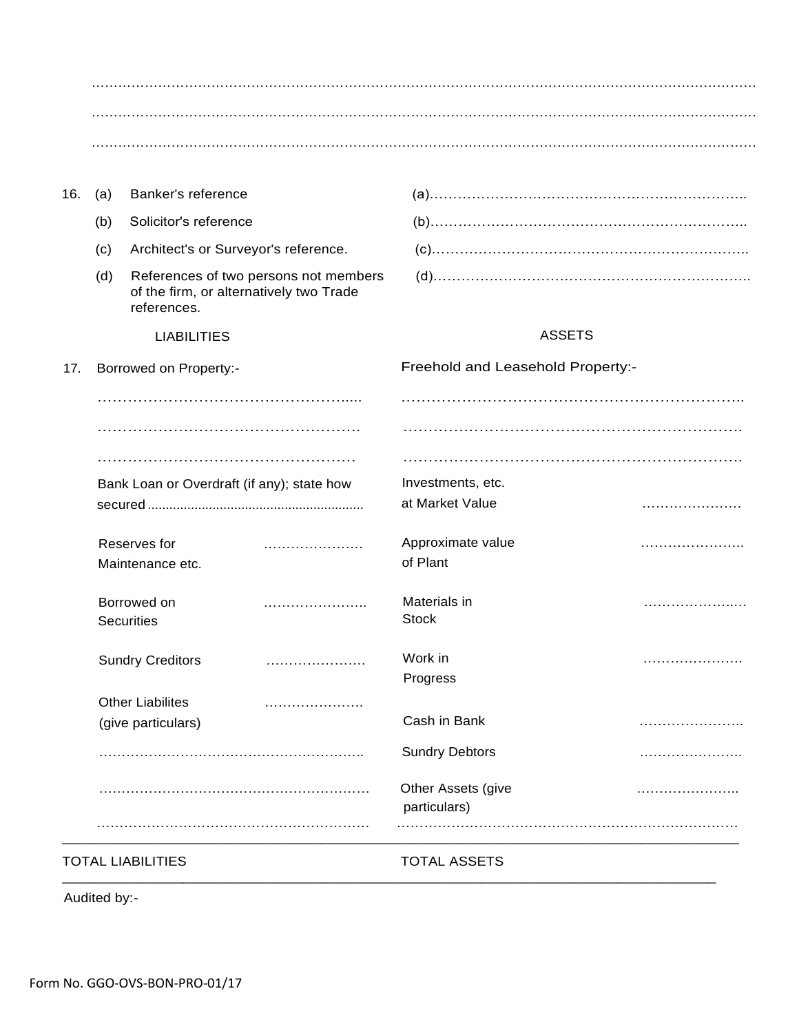|                                            |                                               |                                                                                  | <b>Sundry Debtors</b><br>Other Assets (give | . |
|--------------------------------------------|-----------------------------------------------|----------------------------------------------------------------------------------|---------------------------------------------|---|
|                                            | <b>Other Liabilites</b><br>(give particulars) | .                                                                                | Cash in Bank                                |   |
|                                            | <b>Sundry Creditors</b>                       |                                                                                  | Work in<br>Progress                         |   |
|                                            | Borrowed on<br><b>Securities</b>              |                                                                                  | Materials in<br><b>Stock</b>                |   |
|                                            | Reserves for<br>Maintenance etc.              |                                                                                  | Approximate value<br>of Plant               |   |
|                                            |                                               |                                                                                  | at Market Value                             |   |
| Bank Loan or Overdraft (if any); state how |                                               |                                                                                  | Investments, etc.                           |   |
|                                            |                                               |                                                                                  |                                             |   |
|                                            |                                               |                                                                                  |                                             |   |
| <b>Borrowed on Property:-</b>              |                                               |                                                                                  | Freehold and Leasehold Property:-           |   |
|                                            | <b>LIABILITIES</b>                            |                                                                                  | <b>ASSETS</b>                               |   |
| (d)                                        | references.                                   | References of two persons not members<br>of the firm, or alternatively two Trade |                                             |   |
| (c)                                        |                                               | Architect's or Surveyor's reference.                                             |                                             |   |
| (b)                                        | Solicitor's reference                         |                                                                                  |                                             |   |
|                                            | Banker's reference                            |                                                                                  |                                             |   |